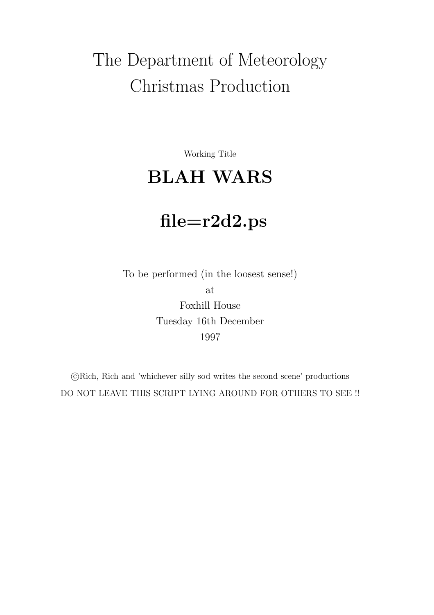# The Department of Meteorology Christmas Production

Working Title

## BLAH WARS

## file=r2d2.ps

To be performed (in the loosest sense!) at Foxhill House Tuesday 16th December 1997

 c Rich, Rich and 'whichever silly sod writes the second scene' productions DO NOT LEAVE THIS SCRIPT LYING AROUND FOR OTHERS TO SEE !!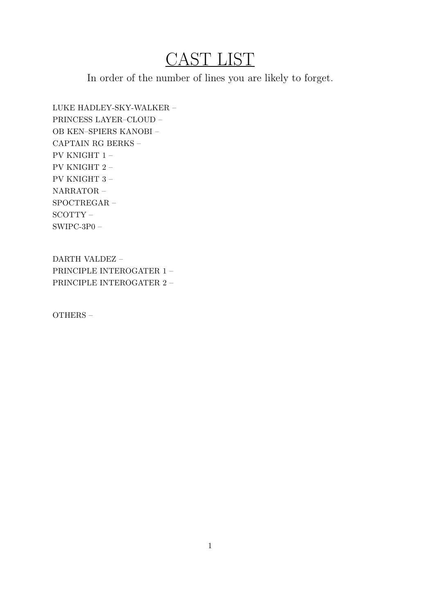## CAST LIST

In order of the number of lines you are likely to forget.

LUKE HADLEY-SKY-WALKER – PRINCESS LAYER–CLOUD – OB KEN–SPIERS KANOBI – CAPTAIN RG BERKS – PV KNIGHT 1 – PV KNIGHT 2 – PV KNIGHT 3 – NARRATOR – SPOCTREGAR – SCOTTY – SWIPC-3P0 –

DARTH VALDEZ – PRINCIPLE INTEROGATER 1 – PRINCIPLE INTEROGATER 2 –

OTHERS –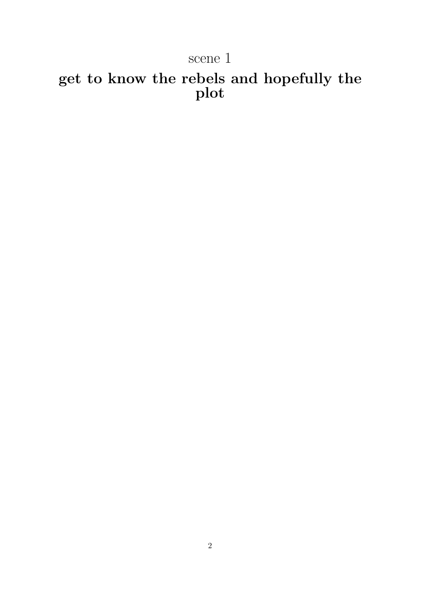## scene 1

## get to know the rebels and hopefully the plot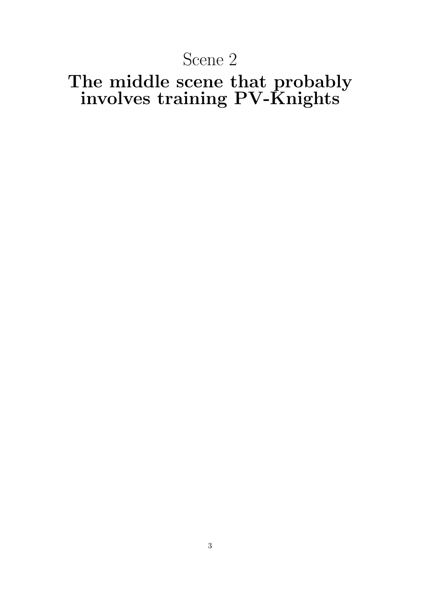## Scene 2

## The middle scene that probably involves training  ${\rm PV\text{-}K}$ nights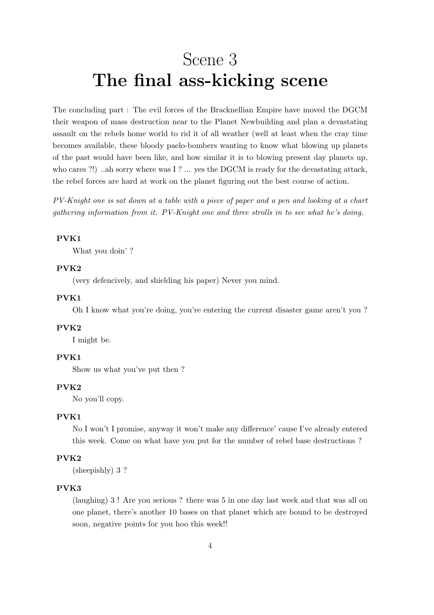## Scene 3 The final ass-kicking scene

The concluding part : The evil forces of the Bracknellian Empire have moved the DGCM their weapon of mass destruction near to the Planet Newbuilding and plan a devastating assault on the rebels home world to rid it of all weather (well at least when the cray time becomes available, these bloody paelo-bombers wanting to know what blowing up planets of the past would have been like, and how similar it is to blowing present day planets up, who cares ?!) ..ah sorry where was I ? ... yes the DGCM is ready for the devastating attack, the rebel forces are hard at work on the planet figuring out the best course of action.

PV-Knight one is sat down at a table with a piece of paper and a pen and looking at a chart gathering information from it. PV-Knight one and three strolls in to see what he's doing.

## PVK1

What you doin' ?

## PVK2

(very defencively, and shielding his paper) Never you mind.

### PVK1

Oh I know what you're doing, you're entering the current disaster game aren't you ?

#### PVK2

I might be.

## PVK1

Show us what you've put then ?

## PVK2

No you'll copy.

#### PVK1

No I won't I promise, anyway it won't make any difference' cause I've already entered this week. Come on what have you put for the number of rebel base destructions ?

## PVK2

(sheepishly) 3 ?

## PVK3

(laughing) 3 ! Are you serious ? there was 5 in one day last week and that was all on one planet, there's another 10 bases on that planet which are bound to be destroyed soon, negative points for you hoo this week!!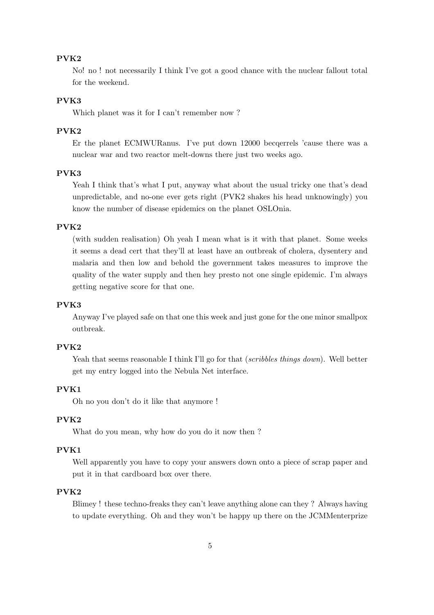#### PVK2

No! no ! not necessarily I think I've got a good chance with the nuclear fallout total for the weekend.

## PVK3

Which planet was it for I can't remember now ?

## PVK2

Er the planet ECMWURanus. I've put down 12000 becqerrels 'cause there was a nuclear war and two reactor melt-downs there just two weeks ago.

## PVK3

Yeah I think that's what I put, anyway what about the usual tricky one that's dead unpredictable, and no-one ever gets right (PVK2 shakes his head unknowingly) you know the number of disease epidemics on the planet OSLOnia.

## PVK2

(with sudden realisation) Oh yeah I mean what is it with that planet. Some weeks it seems a dead cert that they'll at least have an outbreak of cholera, dysentery and malaria and then low and behold the government takes measures to improve the quality of the water supply and then hey presto not one single epidemic. I'm always getting negative score for that one.

#### PVK3

Anyway I've played safe on that one this week and just gone for the one minor smallpox outbreak.

## PVK2

Yeah that seems reasonable I think I'll go for that *(scribbles things down)*. Well better get my entry logged into the Nebula Net interface.

## PVK1

Oh no you don't do it like that anymore !

## PVK2

What do you mean, why how do you do it now then ?

## PVK1

Well apparently you have to copy your answers down onto a piece of scrap paper and put it in that cardboard box over there.

### PVK2

Blimey ! these techno-freaks they can't leave anything alone can they ? Always having to update everything. Oh and they won't be happy up there on the JCMMenterprize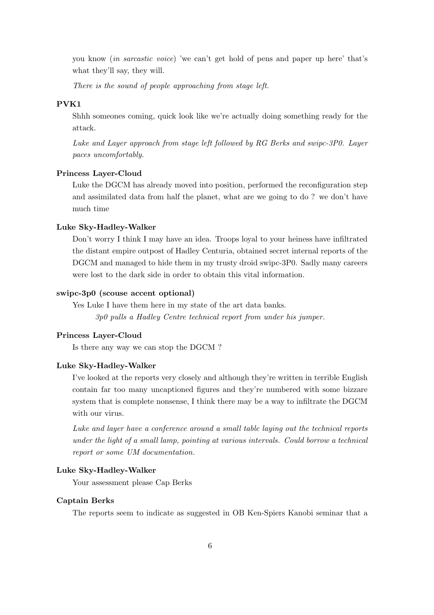you know (in sarcastic voice) 'we can't get hold of pens and paper up here' that's what they'll say, they will.

There is the sound of people approaching from stage left.

#### PVK1

Shhh someones coming, quick look like we're actually doing something ready for the attack.

Luke and Layer approach from stage left followed by RG Berks and swipc-3P0. Layer paces uncomfortably.

## Princess Layer-Cloud

Luke the DGCM has already moved into position, performed the reconfiguration step and assimilated data from half the planet, what are we going to do ? we don't have much time

#### Luke Sky-Hadley-Walker

Don't worry I think I may have an idea. Troops loyal to your heiness have infiltrated the distant empire outpost of Hadley Centuria, obtained secret internal reports of the DGCM and managed to hide them in my trusty droid swipc-3P0. Sadly many careers were lost to the dark side in order to obtain this vital information.

## swipc-3p0 (scouse accent optional)

Yes Luke I have them here in my state of the art data banks. 3p0 pulls a Hadley Centre technical report from under his jumper.

## Princess Layer-Cloud

Is there any way we can stop the DGCM ?

#### Luke Sky-Hadley-Walker

I've looked at the reports very closely and although they're written in terrible English contain far too many uncaptioned figures and they're numbered with some bizzare system that is complete nonsense, I think there may be a way to infiltrate the DGCM with our virus.

Luke and layer have a conference around a small table laying out the technical reports under the light of a small lamp, pointing at various intervals. Could borrow a technical report or some UM documentation.

#### Luke Sky-Hadley-Walker

Your assessment please Cap Berks

## Captain Berks

The reports seem to indicate as suggested in OB Ken-Spiers Kanobi seminar that a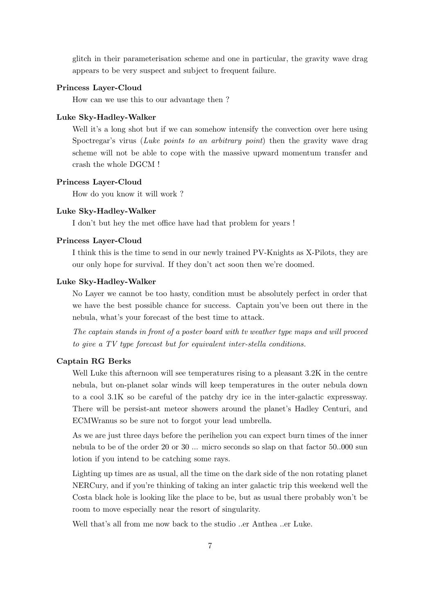glitch in their parameterisation scheme and one in particular, the gravity wave drag appears to be very suspect and subject to frequent failure.

#### Princess Layer-Cloud

How can we use this to our advantage then ?

### Luke Sky-Hadley-Walker

Well it's a long shot but if we can somehow intensify the convection over here using Spoctregar's virus (Luke points to an arbitrary point) then the gravity wave drag scheme will not be able to cope with the massive upward momentum transfer and crash the whole DGCM !

#### Princess Layer-Cloud

How do you know it will work ?

#### Luke Sky-Hadley-Walker

I don't but hey the met office have had that problem for years !

#### Princess Layer-Cloud

I think this is the time to send in our newly trained PV-Knights as X-Pilots, they are our only hope for survival. If they don't act soon then we're doomed.

#### Luke Sky-Hadley-Walker

No Layer we cannot be too hasty, condition must be absolutely perfect in order that we have the best possible chance for success. Captain you've been out there in the nebula, what's your forecast of the best time to attack.

The captain stands in front of a poster board with tv weather type maps and will proceed to give a TV type forecast but for equivalent inter-stella conditions.

#### Captain RG Berks

Well Luke this afternoon will see temperatures rising to a pleasant 3.2K in the centre nebula, but on-planet solar winds will keep temperatures in the outer nebula down to a cool 3.1K so be careful of the patchy dry ice in the inter-galactic expressway. There will be persist-ant meteor showers around the planet's Hadley Centuri, and ECMWranus so be sure not to forgot your lead umbrella.

As we are just three days before the perihelion you can expect burn times of the inner nebula to be of the order 20 or 30 ... micro seconds so slap on that factor 50..000 sun lotion if you intend to be catching some rays.

Lighting up times are as usual, all the time on the dark side of the non rotating planet NERCury, and if you're thinking of taking an inter galactic trip this weekend well the Costa black hole is looking like the place to be, but as usual there probably won't be room to move especially near the resort of singularity.

Well that's all from me now back to the studio ..er Anthea ..er Luke.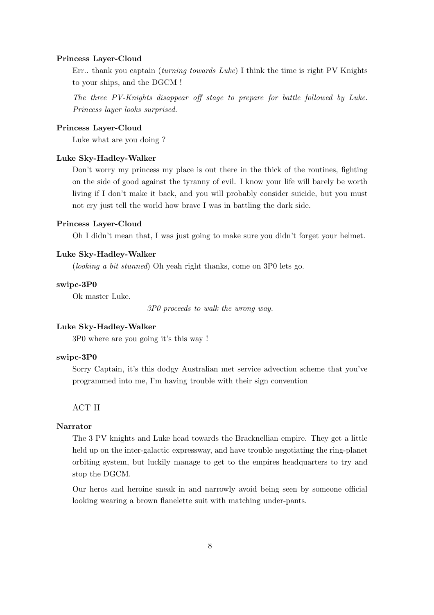#### Princess Layer-Cloud

Err.. thank you captain (turning towards Luke) I think the time is right PV Knights to your ships, and the DGCM !

The three PV-Knights disappear off stage to prepare for battle followed by Luke. Princess layer looks surprised.

### Princess Layer-Cloud

Luke what are you doing ?

### Luke Sky-Hadley-Walker

Don't worry my princess my place is out there in the thick of the routines, fighting on the side of good against the tyranny of evil. I know your life will barely be worth living if I don't make it back, and you will probably consider suicide, but you must not cry just tell the world how brave I was in battling the dark side.

## Princess Layer-Cloud

Oh I didn't mean that, I was just going to make sure you didn't forget your helmet.

### Luke Sky-Hadley-Walker

(looking a bit stunned) Oh yeah right thanks, come on 3P0 lets go.

#### swipc-3P0

Ok master Luke.

3P0 proceeds to walk the wrong way.

## Luke Sky-Hadley-Walker

3P0 where are you going it's this way !

#### swipc-3P0

Sorry Captain, it's this dodgy Australian met service advection scheme that you've programmed into me, I'm having trouble with their sign convention

ACT II

## Narrator

The 3 PV knights and Luke head towards the Bracknellian empire. They get a little held up on the inter-galactic expressway, and have trouble negotiating the ring-planet orbiting system, but luckily manage to get to the empires headquarters to try and stop the DGCM.

Our heros and heroine sneak in and narrowly avoid being seen by someone official looking wearing a brown flanelette suit with matching under-pants.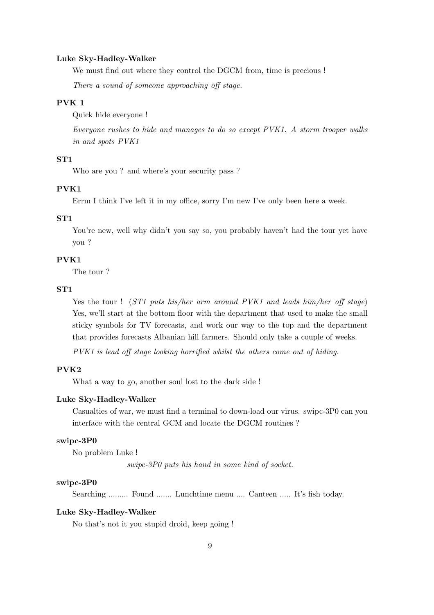#### Luke Sky-Hadley-Walker

We must find out where they control the DGCM from, time is precious !

There a sound of someone approaching off stage.

## PVK 1

Quick hide everyone !

Everyone rushes to hide and manages to do so except PVK1. A storm trooper walks in and spots PVK1

#### ST1

Who are you ? and where's your security pass ?

## PVK1

Errm I think I've left it in my office, sorry I'm new I've only been here a week.

## ST1

You're new, well why didn't you say so, you probably haven't had the tour yet have you ?

## PVK1

The tour ?

#### ST1

Yes the tour ! (ST1 puts his/her arm around PVK1 and leads him/her off stage) Yes, we'll start at the bottom floor with the department that used to make the small sticky symbols for TV forecasts, and work our way to the top and the department that provides forecasts Albanian hill farmers. Should only take a couple of weeks.

PVK1 is lead off stage looking horrified whilst the others come out of hiding.

## PVK2

What a way to go, another soul lost to the dark side !

#### Luke Sky-Hadley-Walker

Casualties of war, we must find a terminal to down-load our virus. swipc-3P0 can you interface with the central GCM and locate the DGCM routines ?

#### swipc-3P0

No problem Luke !

swipc-3P0 puts his hand in some kind of socket.

### swipc-3P0

Searching ......... Found ....... Lunchtime menu .... Canteen ..... It's fish today.

#### Luke Sky-Hadley-Walker

No that's not it you stupid droid, keep going !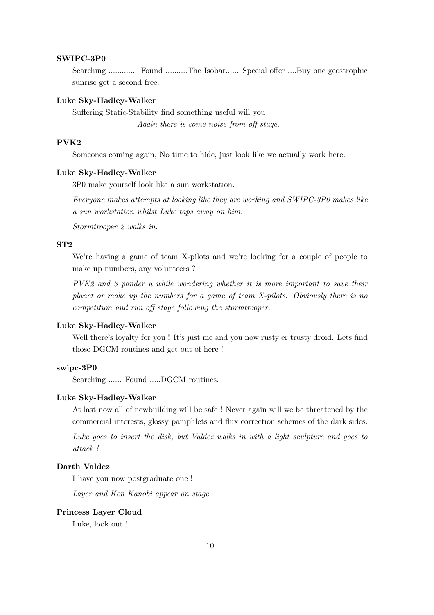#### SWIPC-3P0

Searching ............. Found ..........The Isobar...... Special offer ....Buy one geostrophic sunrise get a second free.

## Luke Sky-Hadley-Walker

Suffering Static-Stability find something useful will you ! Again there is some noise from off stage.

## PVK2

Someones coming again, No time to hide, just look like we actually work here.

#### Luke Sky-Hadley-Walker

3P0 make yourself look like a sun workstation.

Everyone makes attempts at looking like they are working and SWIPC-3P0 makes like a sun workstation whilst Luke taps away on him.

Stormtrooper 2 walks in.

## ST2

We're having a game of team X-pilots and we're looking for a couple of people to make up numbers, any volunteers ?

PVK2 and 3 ponder a while wondering whether it is more important to save their planet or make up the numbers for a game of team X-pilots. Obviously there is no competition and run off stage following the stormtrooper.

#### Luke Sky-Hadley-Walker

Well there's loyalty for you ! It's just me and you now rusty er trusty droid. Lets find those DGCM routines and get out of here !

#### swipc-3P0

Searching ...... Found .....DGCM routines.

#### Luke Sky-Hadley-Walker

At last now all of newbuilding will be safe ! Never again will we be threatened by the commercial interests, glossy pamphlets and flux correction schemes of the dark sides.

Luke goes to insert the disk, but Valdez walks in with a light sculpture and goes to attack !

## Darth Valdez

I have you now postgraduate one !

Layer and Ken Kanobi appear on stage

#### Princess Layer Cloud

Luke, look out !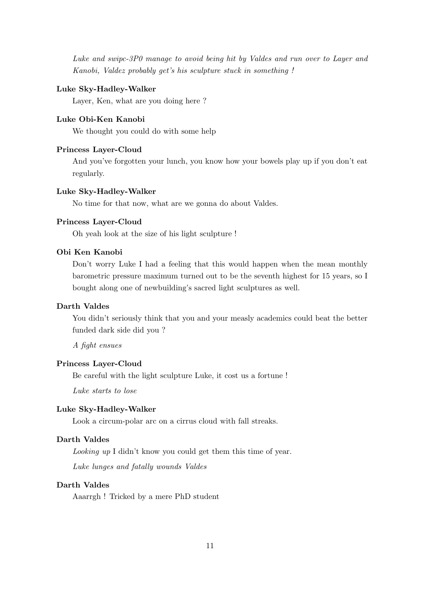Luke and swipc-3P0 manage to avoid being hit by Valdes and run over to Layer and Kanobi, Valdez probably get's his sculpture stuck in something !

#### Luke Sky-Hadley-Walker

Layer, Ken, what are you doing here ?

## Luke Obi-Ken Kanobi

We thought you could do with some help

## Princess Layer-Cloud

And you've forgotten your lunch, you know how your bowels play up if you don't eat regularly.

#### Luke Sky-Hadley-Walker

No time for that now, what are we gonna do about Valdes.

## Princess Layer-Cloud

Oh yeah look at the size of his light sculpture !

## Obi Ken Kanobi

Don't worry Luke I had a feeling that this would happen when the mean monthly barometric pressure maximum turned out to be the seventh highest for 15 years, so I bought along one of newbuilding's sacred light sculptures as well.

## Darth Valdes

You didn't seriously think that you and your measly academics could beat the better funded dark side did you ?

A fight ensues

## Princess Layer-Cloud

Be careful with the light sculpture Luke, it cost us a fortune !

Luke starts to lose

## Luke Sky-Hadley-Walker

Look a circum-polar arc on a cirrus cloud with fall streaks.

## Darth Valdes

Looking up I didn't know you could get them this time of year.

Luke lunges and fatally wounds Valdes

## Darth Valdes

Aaarrgh ! Tricked by a mere PhD student